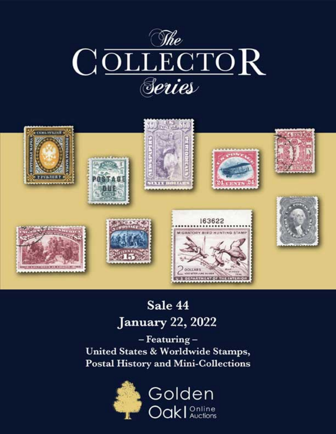



# Sale 44 **January 22, 2022**

- Featuring -United States & Worldwide Stamps, **Postal History and Mini-Collections** 

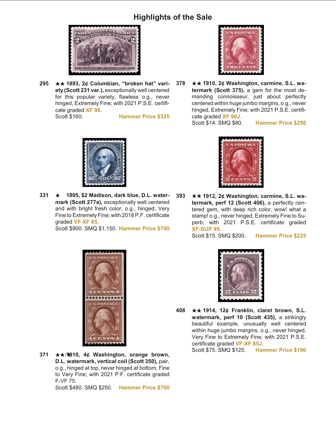#### **Highlights of the Sale**



**295** ★★ 1893, 2¢ Columbian, "broken hat" variety (Scott 231 var.), exceptionally well centered for this popular variety, flawless o.g., never hinged, Extremely Fine; with 2021 P.S.E. certificate graded **XF 90**. Scott \$160. **Hammer Price \$325**



**378** ★★ 1910, 2¢ Washington, carmine, S.L. watermark (Scott 375), a gem for the most demanding connoisseur, just about perfectly centered within huge jumbo margins, o.g., never hinged, Extremely Fine; with 2021 P.S.E. certificate graded **XF 90J**.

Scott \$14. SMQ \$80. **Hammer Price \$250**



**331 ★ 1895, \$2 Madison, dark blue, D.L. water**mark (Scott 277a), exceptionally well centered and with bright fresh color, o.g., hinged, Very Fine to Extremely Fine; with 2018 P.F. certificate graded **VF-XF 85**. Scott \$900. SMQ \$1,150. **Hammer Price \$700**



**393** ★★ 1912, 2¢ Washington, carmine, S.L. watermark, perf 12 (Scott 406), a perfectly centered gem, with deep rich color, wow! what a stamp! o.g., never hinged, Extremely Fine to Superb; with 2021 P.S.E. certificate graded **XF-SUP 95**.

Scott \$15. SMQ \$200. **Hammer Price \$225**



**371** ★★/1910, 4¢ Washington, orange brown, **D.L. watermark, vertical coil (Scott 350), pair,** o.g., hinged at top, never hinged at bottom, Fine to Very Fine; with 2021 P.F. certificate graded F-VF 75. Scott \$480. SMQ \$250. **Hammer Price \$700**



**408** ★★ 1914, 12¢ Franklin, claret brown, S.L. watermark, perf 10 (Scott 435), a strikingly beautiful example, unusually well centered within huge jumbo margins, o.g., never hinged, Very Fine to Extremely Fine; with 2021 P.S.E. certificate graded VF-XF 85J.

Scott \$75. SMQ \$125. **Hammer Price \$190**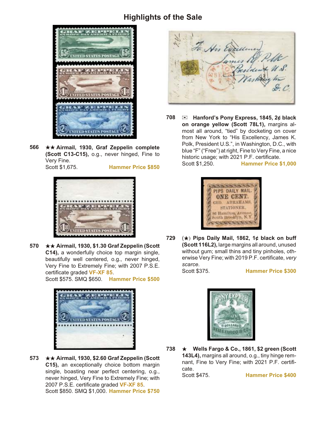#### **Highlights of the Sale**



566 **★★ Airmail, 1930, Graf Zeppelin complete (Scott C13-C15),** o.g., never hinged, Fine to Very Fine.



Scott \$1,675. **Hammer Price \$850**



**570** ★★ Airmail, 1930, \$1.30 Graf Zeppelin (Scott C14), a wonderfully choice top margin single, beautifully well centered, o.g., never hinged, Very Fine to Extremely Fine; with 2007 P.S.E. certificate graded VF-XF 85.

Scott \$575. SMQ \$650. **Hammer Price \$500**



**573** ★★ Airmail, 1930, \$2.60 Graf Zeppelin (Scott **C15), an exceptionally choice bottom margin** single, boasting near perfect centering, o.g., never hinged, Very Fine to Extremely Fine; with 2007 P.S.E. certificate graded VF-XF 85. Scott \$850. SMQ \$1,000. **Hammer Price \$750**



**708** ) **Hanford's Pony Ex press, 1845, 2¢ black on orange yellow (Scott 78L1), margins al**most all around, "tied" by docketing on cover from New York to "His Excellency, James K. Polk, President U.S.", in Washington, D.C., with blue "F" ("Free") at right, Fine to Very Fine, a nice historic usage; with 2021 P.F. certificate. Scott \$1,250. **Hammer Price \$1,000**



729  $(\star)$  Pips Daily Mail, 1862, 1¢ black on buff **(Scott 116L2), large margins all around, unused** without gum; small thins and tiny pinholes, otherwise Very Fine; with 2019 P.F. certificate, *very scarce.*<br>Scott \$375.

**Hammer Price \$300** 



**738 ★ Wells Fargo & Co., 1861, \$2 green (Scott** 143L4), margins all around, o.g., tiny hinge remnant, Fine to Very Fine; with 2021 P.F. certificate.

Scott \$475. **Hammer Price \$400**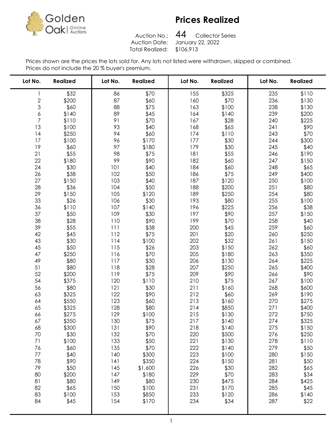

Auction No.: Total Realized: \$106,913

Collector Series Auction Date: January 22, 2022 

| Lot No.        | <b>Realized</b> | Lot No. | <b>Realized</b> | Lot No. | <b>Realized</b> | Lot No. | <b>Realized</b> |
|----------------|-----------------|---------|-----------------|---------|-----------------|---------|-----------------|
| 1              | \$32            | 86      | \$70            | 155     | \$325           | 235     | \$110           |
|                | \$200           | 87      | \$60            | 160     | \$70            | 236     | \$130           |
| $\frac{2}{3}$  | \$60            | 88      | \$75            | 163     | \$100           | 238     | \$130           |
| 6              | \$140           | 89      | \$45            | 164     | \$140           | 239     | \$200           |
| $\overline{7}$ | \$110           | 91      | \$70            | 167     | \$28            | 240     | \$225           |
| 13             | \$100           | 93      | \$40            | 168     | \$65            | 241     | \$90            |
| 14             | \$250           | 94      | \$60            | 174     | \$110           | 243     | \$70            |
| 17             | \$100           | 96      | \$170           | 177     | \$30            | 244     | \$300           |
| 19             | \$60            | 97      | \$180           | 179     | \$30            | 245     | \$40            |
| 21             | \$55            | 98      | \$75            | 181     | \$55            | 246     | \$190           |
| 22             | \$180           | 99      | \$90            | 182     | \$60            | 247     | \$150           |
| 24             | \$30            | 101     | \$40            | 184     | \$60            | 248     | \$65            |
| 26             | \$38            | 102     | \$50            | 186     | \$75            | 249     | \$400           |
| 27             | \$150           | 103     | \$40            | 187     | \$120           | 250     | \$100           |
| 28             | \$36            | 104     | \$50            | 188     | \$200           | 251     | \$80            |
| 29             | \$150           | 105     | \$120           | 189     | \$250           | 254     | \$80            |
| 33             | \$26            | 106     | \$30            | 193     | \$80            | 255     | \$100           |
| 36             | \$110           | 107     | \$140           | 196     | \$225           | 256     | \$38            |
| 37             | \$50            | 109     | \$30            | 197     | \$90            | 257     | \$150           |
| 38             | \$28            | 110     | \$90            | 199     | \$70            | 258     | \$40            |
| 39             | \$55            | 111     | \$38            | 200     | \$45            | 259     | \$60            |
| 42             | \$45            | 112     | \$75            | 201     | \$20            | 260     | \$250           |
| 43             | \$30            | 114     | \$100           | 202     | \$32            | 261     | \$150           |
| 45             | \$50            | 115     | \$26            | 203     | \$150           | 262     | \$60            |
| 47             | \$250           | 116     | \$70            | 205     | \$180           | 263     | \$350           |
| 49             | \$80            | 117     | \$30            | 206     | \$130           | 264     | \$225           |
| 51             | \$80            | 118     | \$28            | 207     | \$250           | 265     | \$400           |
| 52             | \$200           | 119     | \$75            | 209     | \$90            | 266     | \$90            |
| 54             | \$375           | 120     | \$110           | 210     | \$75            | 267     | \$100           |
| 56             | \$80            | 121     | \$30            | 211     | \$160           | 268     | \$600           |
| 63             | \$325           | 122     | \$90            | 212     | \$60            | 269     | \$190           |
| 64             | \$550           | 123     | \$60            | 213     | \$160           | 270     | \$275           |
| 65             | \$325           | 128     | \$80            | 214     | \$850           | 271     | \$400           |
| 66             | \$275           | 129     | \$100           | 215     | \$130           | 272     | \$750           |
| 67             | \$350           | 130     | \$75            | 217     | \$140           | 274     | \$325           |
| 68             | \$300           | 131     | \$90            | 218     | \$140           | 275     | \$150           |
| 70             | \$30            | 132     | \$70            | 220     | \$500           | 276     | \$250           |
| 71             | \$100           | 133     | \$50            | 221     | \$130           | 278     | \$110           |
| 76             | \$60            | 135     | \$70            | 222     | \$140           | 279     | \$50            |
| 77             | \$40            | 140     | \$300           | 223     | \$100           | 280     | \$150           |
| 78             | \$90            | 141     | \$350           | 224     | \$150           | 281     | \$50            |
| 79             | \$50            | 145     | \$1,600         | 226     | \$30            | 282     | \$65            |
| 80             | \$200           | 147     | \$180           | 229     | \$70            | 283     | \$34            |
| 81             | \$80            | 149     | \$80            | 230     | \$475           | 284     | \$425           |
| 82             | \$65            | 150     | \$100           | 231     | \$170           | 285     | \$45            |
| 83             | \$100           | 153     | \$850           | 233     | \$120           | 286     | \$140           |
| 84             | \$45            | 154     | \$170           | 234     | \$34            | 287     | \$22            |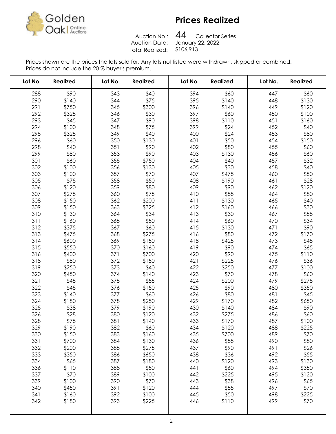

Auction No.:<br>Auction Date: Total Realized: \$106,913

Collector Series January 22, 2022 

| Lot No. | <b>Realized</b> | Lot No. | <b>Realized</b> | Lot No. | <b>Realized</b> | Lot No. | <b>Realized</b> |
|---------|-----------------|---------|-----------------|---------|-----------------|---------|-----------------|
| 288     | \$90            | 343     | \$40            | 394     | \$60            | 447     | \$60            |
| 290     | \$140           | 344     | \$75            | 395     | \$140           | 448     | \$130           |
| 291     | \$750           | 345     | \$300           | 396     | \$140           | 449     | \$120           |
| 292     | \$325           | 346     | \$30            | 397     | \$60            | 450     | \$100           |
| 293     | \$45            | 347     | \$90            | 398     | \$110           | 451     | \$160           |
| 294     | \$100           | 348     | \$75            | 399     | \$24            | 452     | \$40            |
| 295     | \$325           | 349     | \$40            | 400     | \$24            | 453     | \$80            |
| 296     | \$60            | 350     | \$130           | 401     | \$50            | 454     | \$150           |
| 298     | \$40            | 351     | \$90            | 402     | \$80            | 455     | \$60            |
| 299     | \$80            | 353     | \$90            | 403     | \$130           | 456     | \$60            |
| 301     | \$60            | 355     | \$750           | 404     | \$40            | 457     | \$32            |
| 302     | \$100           | 356     | \$130           | 405     | \$30            | 458     | \$40            |
| 303     | \$100           | 357     | \$70            | 407     | \$475           | 460     | \$50            |
| 305     | \$75            | 358     | \$50            | 408     | \$190           | 461     | \$28            |
| 306     | \$120           | 359     | \$80            | 409     | \$90            | 462     | \$120           |
| 307     | \$275           | 360     | \$75            | 410     | \$55            | 464     | \$80            |
| 308     | \$150           | 362     | \$200           | 411     | \$130           | 465     | \$40            |
| 309     | \$150           | 363     | \$325           | 412     | \$160           | 466     | \$30            |
| 310     | \$130           | 364     | \$34            | 413     | \$30            | 467     | \$55            |
| 311     | \$160           | 365     | \$50            | 414     | \$60            | 470     | \$34            |
| 312     | \$375           | 367     | \$60            | 415     | \$130           | 471     | \$90            |
| 313     | \$475           | 368     | \$275           | 416     | \$80            | 472     | \$170           |
| 314     | \$600           | 369     | \$150           | 418     | \$425           | 473     | \$45            |
| 315     | \$550           | 370     | \$160           | 419     | \$90            | 474     | \$65            |
| 316     | \$400           | 371     | \$700           | 420     | \$90            | 475     | \$110           |
| 318     | \$80            | 372     | \$150           | 421     | \$225           | 476     | \$36            |
| 319     | \$250           | 373     | \$40            | 422     | \$250           | 477     | \$100           |
| 320     | \$450           | 374     | \$140           | 423     | \$70            | 478     | \$60            |
| 321     | \$45            | 375     | \$55            | 424     | \$200           | 479     | \$275           |
| 322     | \$45            | 376     | \$150           | 425     | \$90            | 480     | \$350           |
| 323     | \$140           | 377     | \$60            | 426     | \$80            | 481     | \$45            |
| 324     | \$180           | 378     | \$250           | 429     | \$170           | 482     | \$650           |
| 325     | \$38            | 379     | \$190           | 430     | \$140           | 484     | \$90            |
| 326     | \$28            | 380     | \$120           | 432     | \$275           | 486     | \$60            |
| 328     | \$75            | 381     | \$140           | 433     | \$170           | 487     | \$100           |
| 329     | \$190           | 382     | \$60            | 434     | \$120           | 488     | \$225           |
| 330     | \$150           | 383     | \$160           | 435     | \$700           | 489     | \$70            |
| 331     | \$700           | 384     | \$130           | 436     | \$55            | 490     | \$80            |
| 332     | \$200           | 385     | \$275           | 437     | \$90            | 491     | \$26            |
| 333     | \$350           | 386     | \$650           | 438     | \$36            | 492     | \$55            |
| 334     | \$65            | 387     | \$180           | 440     | \$120           | 493     | \$130           |
| 336     | \$110           | 388     | \$50            | 441     | \$60            | 494     | \$350           |
| 337     | \$70            | 389     | \$100           | 442     | \$225           | 495     | \$120           |
| 339     | \$100           | 390     | \$70            | 443     | \$38            | 496     | \$65            |
| 340     | \$450           | 391     | \$120           | 444     | \$55            | 497     | \$70            |
| 341     | \$160           | 392     | \$100           | 445     | \$50            | 498     | \$225           |
| 342     | \$180           | 393     | \$225           | 446     | \$110           | 499     | \$70            |
|         |                 |         |                 |         |                 |         |                 |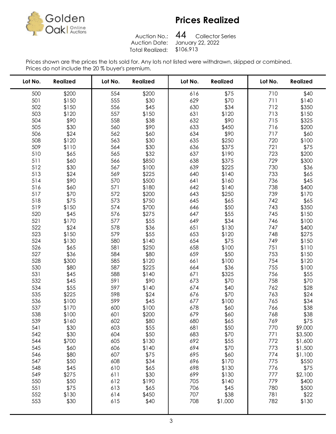

Auction No.:<br>Auction Date: Total Realized: \$106,913

Collector Series January 22, 2022 

| Lot No.    | <b>Realized</b> | Lot No.    | <b>Realized</b> | Lot No.    | <b>Realized</b> | Lot No.    | <b>Realized</b> |
|------------|-----------------|------------|-----------------|------------|-----------------|------------|-----------------|
| 500        | \$200           | 554        | \$200           | 616        | \$75            | 710        | \$40            |
| 501        | \$150           | 555        | \$30            | 629        | \$70            | 711        | \$140           |
| 502        | \$150           | 556        | \$45            | 630        | \$34            | 712        | \$350           |
| 503        | \$120           | 557        | \$150           | 631        | \$120           | 713        | \$150           |
| 504        | \$90            | 558        | \$38            | 632        | \$90            | 715        | \$325           |
| 505        | \$30            | 560        | \$90            | 633        | \$450           | 716        | \$200           |
| 506        | \$24            | 562        | \$60            | 634        | \$90            | 717        | \$60            |
| 508        | \$120           | 563        | \$30            | 635        | \$250           | 720        | \$100           |
| 509        | \$110           | 564        | \$30            | 636        | \$375           | 721        | \$75            |
| 510        | \$65            | 565        | \$32            | 637        | \$190           | 723        | \$200           |
| 511        | \$60            | 566        | \$850           | 638        | \$375           | 729        | \$300           |
| 512        | \$30            | 567        | \$100           | 639        | \$225           | 730        | \$36            |
| 513        | \$24            | 569        | \$225           | 640        | \$140           | 733        | \$65            |
| 514        | \$90            | 570        | \$500           | 641        | \$160           | 736        | \$45            |
| 516        | \$60            | 571        | \$180           | 642        | \$140           | 738        | \$400           |
| 517        | \$70            | 572        | \$200           | 643        | \$250           | 739        | \$170           |
| 518        | \$75            | 573        | \$750           | 645        | \$65            | 742        | \$65            |
| 519        | \$150           | 574        | \$700           | 646        | \$50            | 743        | \$350           |
| 520        | \$45            | 576        | \$275           | 647        | \$55            | 745        | \$150           |
| 521        | \$170           | 577        | \$55            | 649        | \$34            | 746        | \$100           |
| 522        | \$24            | 578        | \$36            | 651        | \$130           | 747        | \$400           |
| 523        | \$150           | 579        | \$55            | 653        | \$120           | 748        | \$275           |
| 524        | \$130           | 580        | \$140           | 654        | \$75            | 749        | \$150           |
| 526        | \$65            | 581        | \$250           | 658        | \$100           | 751        | \$110           |
| 527        | \$36            | 584        | \$80            | 659        | \$50            | 753        | \$150           |
| 528        | \$300           | 585        | \$120           | 661        | \$100           | 754        | \$120           |
| 530        | \$80            | 587        | \$225           | 664        | \$36            | 755        | \$100           |
| 531        | \$45            | 588        | \$140           | 671        | \$325           | 756        | \$55            |
| 532        | \$45            | 591        | \$90            | 673        | \$70            | 758        | \$70            |
| 534        | \$55            | 597        | \$140           | 674        | \$40            | 762        | \$28            |
| 535        | \$225           | 598        | \$24            | 676        | \$70            | 763        | \$24            |
| 536        | \$100           | 599        | \$45            | 677        | \$100           | 765        | \$34            |
| 537        | \$170           | 600        | \$100           | 678<br>679 | \$60            | 766        | \$38            |
| 538<br>539 | \$100<br>\$160  | 601<br>602 | \$200<br>\$80   | 680        | \$60            | 768<br>769 | \$38            |
| 541        | \$30            | 603        | \$55            | 681        | \$65<br>\$50    | 770        | \$75<br>\$9,000 |
| 542        | \$30            | 604        | \$50            | 683        | \$70            | 771        | \$3,500         |
| 544        | \$700           | 605        | \$130           | 692        | \$55            | 772        | \$1,600         |
| 545        | \$60            | 606        | \$140           | 694        | \$70            | 773        | \$1,500         |
| 546        | \$80            | 607        | \$75            | 695        | \$60            | 774        | \$1,100         |
| 547        | \$50            | 608        | \$34            | 696        | \$170           | 775        | \$550           |
| 548        | \$45            | 610        | \$65            | 698        | \$130           | 776        | \$75            |
| 549        | \$275           | 611        | \$30            | 699        | \$130           | 777        | \$2,100         |
| 550        | \$50            | 612        | \$190           | 705        | \$140           | 779        | \$400           |
| 551        | \$75            | 613        | \$65            | 706        | \$45            | 780        | \$500           |
| 552        | \$130           | 614        | \$450           | 707        | \$38            | 781        | \$22            |
| 553        | \$30            | 615        | \$40            | 708        | \$1,000         | 782        | \$130           |
|            |                 |            |                 |            |                 |            |                 |